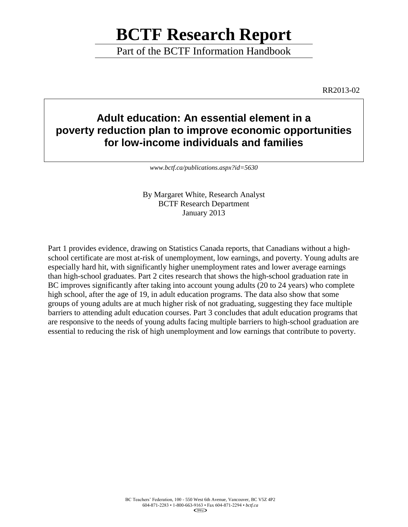# **BCTF Research Report**

Part of the BCTF Information Handbook

RR2013-02

### **Adult education: An essential element in a poverty reduction plan to improve economic opportunities for low-income individuals and families**

*www.bctf.ca/publications.aspx?id=5630*

By Margaret White, Research Analyst BCTF Research Department January 2013

Part 1 provides evidence, drawing on Statistics Canada reports, that Canadians without a highschool certificate are most at-risk of unemployment, low earnings, and poverty. Young adults are especially hard hit, with significantly higher unemployment rates and lower average earnings than high-school graduates. Part 2 cites research that shows the high-school graduation rate in BC improves significantly after taking into account young adults (20 to 24 years) who complete high school, after the age of 19, in adult education programs. The data also show that some groups of young adults are at much higher risk of not graduating, suggesting they face multiple barriers to attending adult education courses. Part 3 concludes that adult education programs that are responsive to the needs of young adults facing multiple barriers to high-school graduation are essential to reducing the risk of high unemployment and low earnings that contribute to poverty.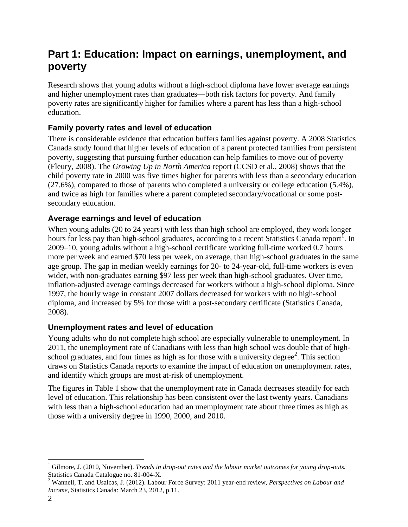# **Part 1: Education: Impact on earnings, unemployment, and poverty**

Research shows that young adults without a high-school diploma have lower average earnings and higher unemployment rates than graduates—both risk factors for poverty. And family poverty rates are significantly higher for families where a parent has less than a high-school education.

#### **Family poverty rates and level of education**

There is considerable evidence that education buffers families against poverty. A 2008 Statistics Canada study found that higher levels of education of a parent protected families from persistent poverty, suggesting that pursuing further education can help families to move out of poverty (Fleury, 2008). The *Growing Up in North America* report (CCSD et al., 2008) shows that the child poverty rate in 2000 was five times higher for parents with less than a secondary education (27.6%), compared to those of parents who completed a university or college education (5.4%), and twice as high for families where a parent completed secondary/vocational or some postsecondary education.

#### **Average earnings and level of education**

When young adults (20 to 24 years) with less than high school are employed, they work longer hours for less pay than high-school graduates, according to a recent Statistics Canada report<sup>1</sup>. In 2009–10, young adults without a high-school certificate working full-time worked 0.7 hours more per week and earned \$70 less per week, on average, than high-school graduates in the same age group. The gap in median weekly earnings for 20- to 24-year-old, full-time workers is even wider, with non-graduates earning \$97 less per week than high-school graduates. Over time, inflation-adjusted average earnings decreased for workers without a high-school diploma. Since 1997, the hourly wage in constant 2007 dollars decreased for workers with no high-school diploma, and increased by 5% for those with a post-secondary certificate (Statistics Canada, 2008).

#### **Unemployment rates and level of education**

Young adults who do not complete high school are especially vulnerable to unemployment. In 2011, the unemployment rate of Canadians with less than high school was double that of highschool graduates, and four times as high as for those with a university degree<sup>2</sup>. This section draws on Statistics Canada reports to examine the impact of education on unemployment rates, and identify which groups are most at-risk of unemployment.

The figures in Table 1 show that the unemployment rate in Canada decreases steadily for each level of education. This relationship has been consistent over the last twenty years. Canadians with less than a high-school education had an unemployment rate about three times as high as those with a university degree in 1990, 2000, and 2010.

 $\overline{a}$ 

<sup>1</sup> Gilmore, J. (2010, November). *Trends in drop-out rates and the labour market outcomes for young drop-outs.* Statistics Canada Catalogue no. 81-004-X.

<sup>2</sup> Wannell, T. and Usalcas, J. (2012). Labour Force Survey: 2011 year-end review, *Perspectives on Labour and Income*, Statistics Canada: March 23, 2012, p.11.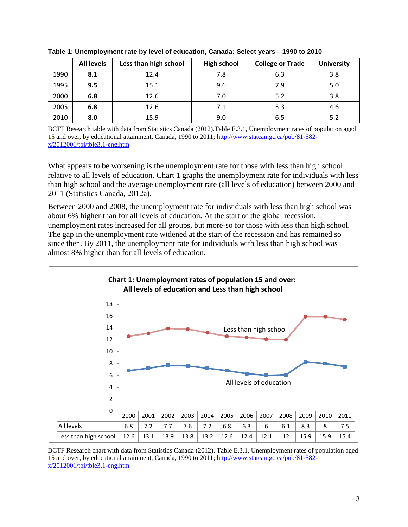|      | <b>All levels</b> | Less than high school | <b>High school</b> | <b>College or Trade</b> | <b>University</b> |
|------|-------------------|-----------------------|--------------------|-------------------------|-------------------|
| 1990 | 8.1               | 12.4                  | 7.8                | 6.3                     | 3.8               |
| 1995 | 9.5               | 15.1                  | 9.6                | 7.9                     | 5.0               |
| 2000 | 6.8               | 12.6                  | 7.0                | 5.2                     | 3.8               |
| 2005 | 6.8               | 12.6                  | 7.1                | 5.3                     | 4.6               |
| 2010 | 8.0               | 15.9                  | 9.0                | 6.5                     | 5.2               |

**Table 1: Unemployment rate by level of education, Canada: Select years—1990 to 2010**

BCTF Research table with data from Statistics Canada (2012).Table E.3.1, Unemployment rates of population aged 15 and over, by educational attainment, Canada, 1990 to 2011; [http://www.statcan.gc.ca/pub/81-582](http://www.statcan.gc.ca/pub/81-582-x/2012001/tbl/tble3.1-eng.htm) [x/2012001/tbl/tble3.1-eng.htm](http://www.statcan.gc.ca/pub/81-582-x/2012001/tbl/tble3.1-eng.htm)

What appears to be worsening is the unemployment rate for those with less than high school relative to all levels of education. Chart 1 graphs the unemployment rate for individuals with less than high school and the average unemployment rate (all levels of education) between 2000 and 2011 (Statistics Canada, 2012a).

Between 2000 and 2008, the unemployment rate for individuals with less than high school was about 6% higher than for all levels of education. At the start of the global recession, unemployment rates increased for all groups, but more-so for those with less than high school. The gap in the unemployment rate widened at the start of the recession and has remained so since then. By 2011, the unemployment rate for individuals with less than high school was almost 8% higher than for all levels of education.



BCTF Research chart with data from Statistics Canada (2012). Table E.3.1, Unemployment rates of population aged 15 and over, by educational attainment, Canada, 1990 to 2011[; http://www.statcan.gc.ca/pub/81-582](http://www.statcan.gc.ca/pub/81-582-x/2012001/tbl/tble3.1-eng.htm) [x/2012001/tbl/tble3.1-eng.htm](http://www.statcan.gc.ca/pub/81-582-x/2012001/tbl/tble3.1-eng.htm)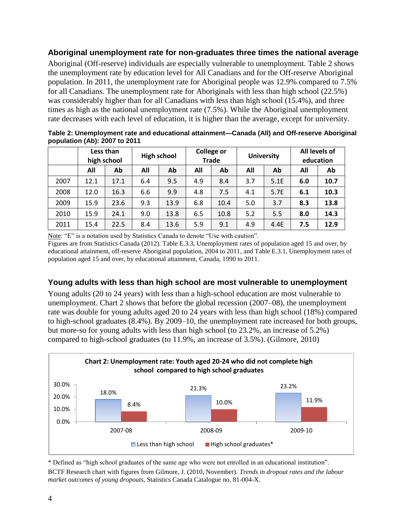#### **Aboriginal unemployment rate for non-graduates three times the national average**

Aboriginal (Off-reserve) individuals are especially vulnerable to unemployment. Table 2 shows the unemployment rate by education level for All Canadians and for the Off-reserve Aboriginal population. In 2011, the unemployment rate for Aboriginal people was 12.9% compared to 7.5% for all Canadians. The unemployment rate for Aboriginals with less than high school (22.5%) was considerably higher than for all Canadians with less than high school (15.4%), and three times as high as the national unemployment rate (7.5%). While the Aboriginal unemployment rate decreases with each level of education, it is higher than the average, except for university.

**Table 2: Unemployment rate and educational attainment—Canada (All) and Off-reserve Aboriginal population (Ab): 2007 to 2011**

|      | Less than<br>high school |      | <b>High school</b> |      | <b>College or</b><br><b>Trade</b> |      | <b>University</b> |      | All levels of<br>education |      |
|------|--------------------------|------|--------------------|------|-----------------------------------|------|-------------------|------|----------------------------|------|
|      | All                      | Ab   | All                | Ab   | All                               | Ab   | All               | Ab   | All                        | Ab   |
| 2007 | 12.1                     | 17.1 | 6.4                | 9.5  | 4.9                               | 8.4  | 3.7               | 5.1E | 6.0                        | 10.7 |
| 2008 | 12.0                     | 16.3 | 6.6                | 9.9  | 4.8                               | 7.5  | 4.1               | 5.7E | 6.1                        | 10.3 |
| 2009 | 15.9                     | 23.6 | 9.3                | 13.9 | 6.8                               | 10.4 | 5.0               | 3.7  | 8.3                        | 13.8 |
| 2010 | 15.9                     | 24.1 | 9.0                | 13.8 | 6.5                               | 10.8 | 5.2               | 5.5  | 8.0                        | 14.3 |
| 2011 | 15.4                     | 22.5 | 8.4                | 13.6 | 5.9                               | 9.1  | 4.9               | 4.4E | 7.5                        | 12.9 |

Note: "E" is a notation used by Statistics Canada to denote "Use with caution".

Figures are from Statistics Canada (2012). Table E.3.3, Unemployment rates of population aged 15 and over, by educational attainment, off-reserve Aboriginal population, 2004 to 2011, and Table E.3.1, Unemployment rates of population aged 15 and over, by educational attainment, Canada, 1990 to 2011.

#### **Young adults with less than high school are most vulnerable to unemployment**

Young adults (20 to 24 years) with less than a high-school education are most vulnerable to unemployment. Chart 2 shows that before the global recession (2007–08), the unemployment rate was double for young adults aged 20 to 24 years with less than high school (18%) compared to high-school graduates (8.4%). By 2009–10, the unemployment rate increased for both groups, but more-so for young adults with less than high school (to 23.2%, an increase of 5.2%) compared to high-school graduates (to 11.9%, an increase of 3.5%). (Gilmore, 2010)



\* Defined as "high school graduates of the same age who were not enrolled in an educational institution". BCTF Research chart with figures from Gilmore, J. (2010, November). *Trends in dropout rates and the labour market outcomes of young dropouts,* Statistics Canada Catalogue no. 81-004-X.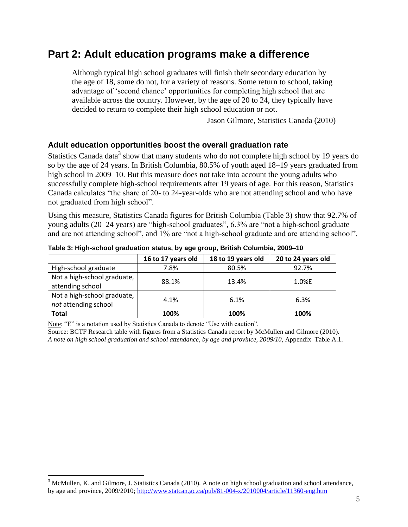### **Part 2: Adult education programs make a difference**

Although typical high school graduates will finish their secondary education by the age of 18, some do not, for a variety of reasons. Some return to school, taking advantage of 'second chance' opportunities for completing high school that are available across the country. However, by the age of 20 to 24, they typically have decided to return to complete their high school education or not.

Jason Gilmore, Statistics Canada (2010)

#### **Adult education opportunities boost the overall graduation rate**

Statistics Canada data<sup>3</sup> show that many students who do not complete high school by 19 years do so by the age of 24 years. In British Columbia, 80.5% of youth aged 18–19 years graduated from high school in 2009–10. But this measure does not take into account the young adults who successfully complete high-school requirements after 19 years of age. For this reason, Statistics Canada calculates "the share of 20- to 24-year-olds who are not attending school and who have not graduated from high school".

Using this measure, Statistics Canada figures for British Columbia (Table 3) show that 92.7% of young adults (20–24 years) are "high-school graduates", 6.3% are "not a high-school graduate and are not attending school", and 1% are "not a high-school graduate and are attending school".

|                                                     | 16 to 17 years old | 18 to 19 years old | 20 to 24 years old |
|-----------------------------------------------------|--------------------|--------------------|--------------------|
| High-school graduate                                | 7.8%               | 80.5%              | 92.7%              |
| Not a high-school graduate,<br>attending school     | 88.1%              | 13.4%              | 1.0%E              |
| Not a high-school graduate,<br>not attending school | 4.1%               | 6.1%               | 6.3%               |
| <b>Total</b>                                        | 100%               | 100%               | 100%               |

**Table 3: High-school graduation status, by age group, British Columbia, 2009–10**

Note: "E" is a notation used by Statistics Canada to denote "Use with caution".

 $\overline{a}$ 

Source: BCTF Research table with figures from a Statistics Canada report by McMullen and Gilmore (2010). *A note on high school graduation and school attendance, by age and province, 2009/10*, Appendix–Table A.1.

<sup>&</sup>lt;sup>3</sup> McMullen, K. and Gilmore, J. Statistics Canada (2010). A note on high school graduation and school attendance, by age and province, 2009/2010;<http://www.statcan.gc.ca/pub/81-004-x/2010004/article/11360-eng.htm>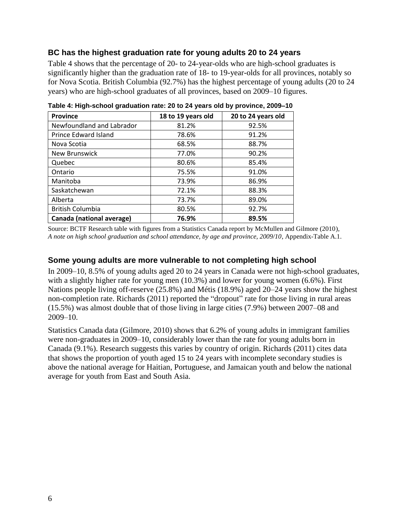#### **BC has the highest graduation rate for young adults 20 to 24 years**

Table 4 shows that the percentage of 20- to 24-year-olds who are high-school graduates is significantly higher than the graduation rate of 18- to 19-year-olds for all provinces, notably so for Nova Scotia. British Columbia (92.7%) has the highest percentage of young adults (20 to 24 years) who are high-school graduates of all provinces, based on 2009–10 figures.

| <b>Province</b>           | 18 to 19 years old | 20 to 24 years old |  |
|---------------------------|--------------------|--------------------|--|
| Newfoundland and Labrador | 81.2%              | 92.5%              |  |
| Prince Edward Island      | 78.6%              | 91.2%              |  |
| Nova Scotia               | 68.5%              | 88.7%              |  |
| New Brunswick             | 77.0%              | 90.2%              |  |
| Quebec                    | 80.6%              | 85.4%              |  |
| Ontario                   | 75.5%              | 91.0%              |  |
| Manitoba                  | 73.9%              | 86.9%              |  |
| Saskatchewan              | 72.1%              | 88.3%              |  |
| Alberta                   | 73.7%              | 89.0%              |  |
| <b>British Columbia</b>   | 80.5%              | 92.7%              |  |
| Canada (national average) | 76.9%              | 89.5%              |  |

**Table 4: High-school graduation rate: 20 to 24 years old by province, 2009–10**

Source: BCTF Research table with figures from a Statistics Canada report by McMullen and Gilmore (2010), *A note on high school graduation and school attendance, by age and province, 2009/10*, Appendix-Table A.1.

#### **Some young adults are more vulnerable to not completing high school**

In 2009–10, 8.5% of young adults aged 20 to 24 years in Canada were not high-school graduates, with a slightly higher rate for young men (10.3%) and lower for young women (6.6%). First Nations people living off-reserve (25.8%) and Métis (18.9%) aged 20–24 years show the highest non-completion rate. Richards (2011) reported the "dropout" rate for those living in rural areas (15.5%) was almost double that of those living in large cities (7.9%) between 2007–08 and 2009–10.

Statistics Canada data (Gilmore, 2010) shows that 6.2% of young adults in immigrant families were non-graduates in 2009–10, considerably lower than the rate for young adults born in Canada (9.1%). Research suggests this varies by country of origin. Richards (2011) cites data that shows the proportion of youth aged 15 to 24 years with incomplete secondary studies is above the national average for Haitian, Portuguese, and Jamaican youth and below the national average for youth from East and South Asia.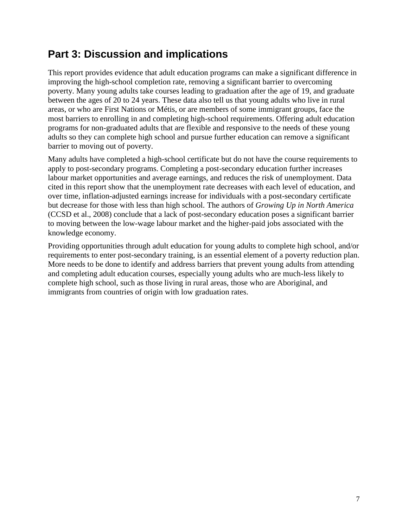## **Part 3: Discussion and implications**

This report provides evidence that adult education programs can make a significant difference in improving the high-school completion rate, removing a significant barrier to overcoming poverty. Many young adults take courses leading to graduation after the age of 19, and graduate between the ages of 20 to 24 years. These data also tell us that young adults who live in rural areas, or who are First Nations or Métis, or are members of some immigrant groups, face the most barriers to enrolling in and completing high-school requirements. Offering adult education programs for non-graduated adults that are flexible and responsive to the needs of these young adults so they can complete high school and pursue further education can remove a significant barrier to moving out of poverty.

Many adults have completed a high-school certificate but do not have the course requirements to apply to post-secondary programs. Completing a post-secondary education further increases labour market opportunities and average earnings, and reduces the risk of unemployment. Data cited in this report show that the unemployment rate decreases with each level of education, and over time, inflation-adjusted earnings increase for individuals with a post-secondary certificate but decrease for those with less than high school. The authors of *Growing Up in North America* (CCSD et al., 2008) conclude that a lack of post-secondary education poses a significant barrier to moving between the low-wage labour market and the higher-paid jobs associated with the knowledge economy.

Providing opportunities through adult education for young adults to complete high school, and/or requirements to enter post-secondary training, is an essential element of a poverty reduction plan. More needs to be done to identify and address barriers that prevent young adults from attending and completing adult education courses, especially young adults who are much-less likely to complete high school, such as those living in rural areas, those who are Aboriginal, and immigrants from countries of origin with low graduation rates.